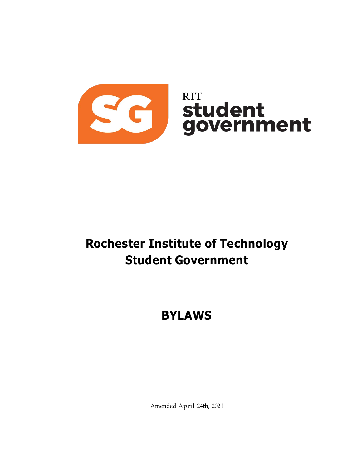

# <span id="page-0-0"></span>**Rochester Institute of Technology Student Government**

# **BYLAWS**

Amended April 24th, 2021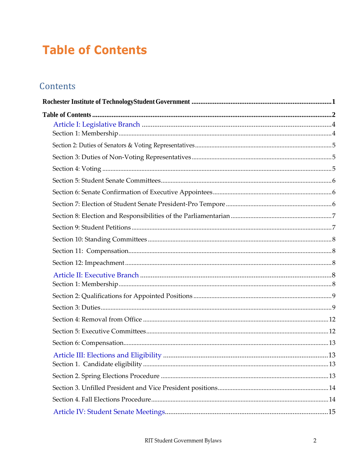# <span id="page-1-0"></span>**Table of Contents**

# Contents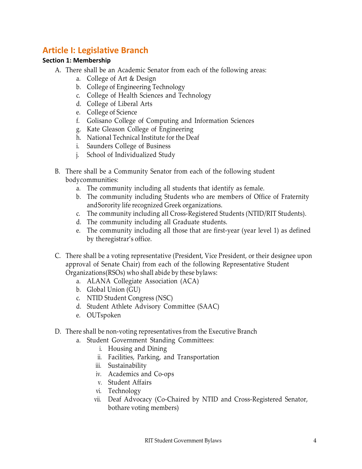# <span id="page-3-0"></span>**Article I: Legislative Branch**

# <span id="page-3-1"></span>**Section 1: Membership**

- A. There shall be an Academic Senator from each of the following areas:
	- a. College of Art & Design
	- b. College of Engineering Technology
	- c. College of Health Sciences and Technology
	- d. College of Liberal Arts
	- e. College of Science
	- f. Golisano College of Computing and Information Sciences
	- g. Kate Gleason College of Engineering
	- h. National Technical Institute for the Deaf
	- i. Saunders College of Business
	- j. School of Individualized Study
- B. There shall be a Community Senator from each of the following student bodycommunities:
	- a. The community including all students that identify as female.
	- b. The community including Students who are members of Office of Fraternity andSorority life recognized Greek organizations.
	- c. The community including all Cross-Registered Students (NTID/RIT Students).
	- d. The community including all Graduate students.
	- e. The community including all those that are first-year (year level 1) as defined by theregistrar's office.
- C. There shall be a voting representative (President, Vice President, or their designee upon approval of Senate Chair) from each of the following Representative Student Organizations(RSOs) who shall abide by these bylaws:
	- a. ALANA Collegiate Association (ACA)
	- b. Global Union (GU)
	- c. NTID Student Congress (NSC)
	- d. Student Athlete Advisory Committee (SAAC)
	- e. OUTspoken
- D. There shall be non-voting representatives from the Executive Branch
	- a. Student Government Standing Committees:
		- i. Housing and Dining
		- ii. Facilities, Parking, and Transportation
		- iii. Sustainability
		- iv. Academics and Co-ops
		- v. Student Affairs
		- vi. Technology
		- vii. Deaf Advocacy (Co-Chaired by NTID and Cross-Registered Senator, bothare voting members)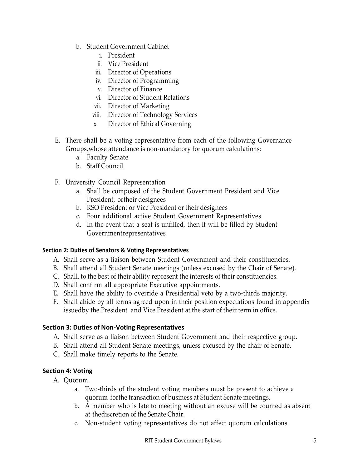- b. Student Government Cabinet
	- i. President
	- ii. Vice President
	- iii. Director of Operations
	- iv. Director of Programming
	- v. Director of Finance
	- vi. Director of Student Relations
	- vii. Director of Marketing
	- viii. Director of Technology Services
	- ix. Director of Ethical Governing
- E. There shall be a voting representative from each of the following Governance Groups,whose attendance is non-mandatory for quorum calculations:
	- a. Faculty Senate
	- b. Staff Council
- F. University Council Representation
	- a. Shall be composed of the Student Government President and Vice President, ortheir designees
	- b. RSO President or Vice President or their designees
	- c. Four additional active Student Government Representatives
	- d. In the event that a seat is unfilled, then it will be filled by Student Governmentrepresentatives

#### <span id="page-4-0"></span>**Section 2: Duties of Senators & Voting Representatives**

- A. Shall serve as a liaison between Student Government and their constituencies.
- B. Shall attend all Student Senate meetings (unless excused by the Chair of Senate).
- C. Shall, to the best of their ability represent the interests of their constituencies.
- D. Shall confirm all appropriate Executive appointments.
- E. Shall have the ability to override a Presidential veto by a two-thirds majority.
- F. Shall abide by all terms agreed upon in their position expectations found in appendix issuedby the President and Vice President at the start of their term in office.

# <span id="page-4-1"></span>**Section 3: Duties of Non-Voting Representatives**

- A. Shall serve as a liaison between Student Government and their respective group.
- B. Shall attend all Student Senate meetings, unless excused by the chair of Senate.
- C. Shall make timely reports to the Senate.

# <span id="page-4-2"></span>**Section 4: Voting**

- A. Quorum
	- a. Two-thirds of the student voting members must be present to achieve a quorum forthe transaction of business at Student Senate meetings.
	- b. A member who is late to meeting without an excuse will be counted as absent at thediscretion of the Senate Chair.
	- c. Non-student voting representatives do not affect quorum calculations.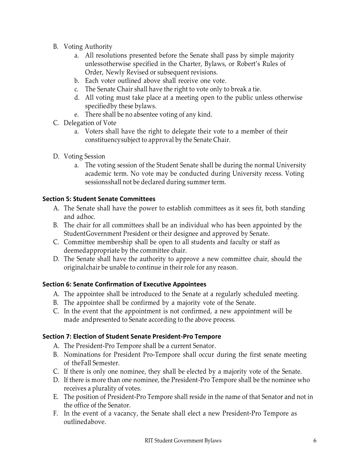- B. Voting Authority
	- a. All resolutions presented before the Senate shall pass by simple majority unlessotherwise specified in the Charter, Bylaws, or Robert's Rules of Order, Newly Revised or subsequent revisions.
	- b. Each voter outlined above shall receive one vote.
	- c. The Senate Chair shall have the right to vote only to break a tie.
	- d. All voting must take place at a meeting open to the public unless otherwise specifiedby these bylaws.
	- e. There shall be no absentee voting of any kind.
- C. Delegation of Vote
	- a. Voters shall have the right to delegate their vote to a member of their constituencysubject to approval by the Senate Chair.
- D. Voting Session
	- a. The voting session of the Student Senate shall be during the normal University academic term. No vote may be conducted during University recess. Voting sessionsshall not be declared during summer term.

# <span id="page-5-0"></span>**Section 5: Student Senate Committees**

- A. The Senate shall have the power to establish committees as it sees fit, both standing and adhoc.
- B. The chair for all committees shall be an individual who has been appointed by the StudentGovernment President or their designee and approved by Senate.
- C. Committee membership shall be open to all students and faculty or staff as deemedappropriate by the committee chair.
- D. The Senate shall have the authority to approve a new committee chair, should the originalchair be unable to continue in their role for any reason.

# <span id="page-5-1"></span>**Section 6: Senate Confirmation of Executive Appointees**

- A. The appointee shall be introduced to the Senate at a regularly scheduled meeting.
- B. The appointee shall be confirmed by a majority vote of the Senate.
- C. In the event that the appointment is not confirmed, a new appointment will be made andpresented to Senate according to the above process.

# <span id="page-5-2"></span>**Section 7: Election of Student Senate President-Pro Tempore**

- A. The President-Pro Tempore shall be a current Senator.
- B. Nominations for President Pro-Tempore shall occur during the first senate meeting of theFall Semester.
- C. If there is only one nominee, they shall be elected by a majority vote of the Senate.
- D. If there is more than one nominee, the President-Pro Tempore shall be the nominee who receives a plurality of votes.
- E. The position of President-Pro Tempore shall reside in the name of that Senator and not in the office of the Senator.
- F. In the event of a vacancy, the Senate shall elect a new President-Pro Tempore as outlinedabove.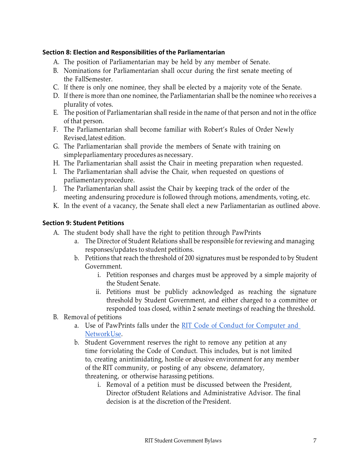### <span id="page-6-0"></span>**Section 8: Election and Responsibilities of the Parliamentarian**

- A. The position of Parliamentarian may be held by any member of Senate.
- B. Nominations for Parliamentarian shall occur during the first senate meeting of the FallSemester.
- C. If there is only one nominee, they shall be elected by a majority vote of the Senate.
- D. If there is more than one nominee, the Parliamentarian shall be the nominee who receives a plurality of votes.
- E. The position of Parliamentarian shall reside in the name of that person and not in the office of that person.
- F. The Parliamentarian shall become familiar with Robert's Rules of Order Newly Revised,latest edition.
- G. The Parliamentarian shall provide the members of Senate with training on simpleparliamentary procedures as necessary.
- H. The Parliamentarian shall assist the Chair in meeting preparation when requested.
- I. The Parliamentarian shall advise the Chair, when requested on questions of parliamentaryprocedure.
- J. The Parliamentarian shall assist the Chair by keeping track of the order of the meeting andensuring procedure is followed through motions, amendments, voting, etc.
- K. In the event of a vacancy, the Senate shall elect a new Parliamentarian as outlined above.

#### <span id="page-6-1"></span>**Section 9: Student Petitions**

- A. The student body shall have the right to petition through PawPrints
	- a. The Director of Student Relations shall be responsible for reviewing and managing responses/updates to student petitions.
	- b. Petitions that reach the threshold of 200 signatures must be responded to by Student Government.
		- i. Petition responses and charges must be approved by a simple majority of the Student Senate.
		- ii. Petitions must be publicly acknowledged as reaching the signature threshold by Student Government, and either charged to a committee or responded toas closed, within 2 senate meetings of reaching the threshold.
- B. Removal of petitions
	- a. Use of PawPrints falls under the RIT Code of Conduct for [Computer](https://www.rit.edu/academicaffairs/policiesmanual/c082-code-conduct-computer-use) and [NetworkUse.](https://www.rit.edu/academicaffairs/policiesmanual/c082-code-conduct-computer-use)
	- b. Student Government reserves the right to remove any petition at any time forviolating the Code of Conduct. This includes, but is not limited to, creating anintimidating, hostile or abusive environment for any member of the RIT community, or posting of any obscene, defamatory, threatening, or otherwise harassing petitions.
		- i. Removal of a petition must be discussed between the President, Director ofStudent Relations and Administrative Advisor. The final decision is at the discretion of the President.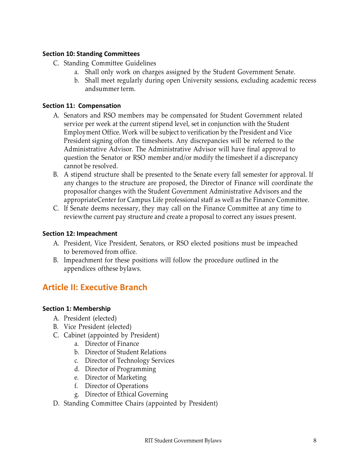#### <span id="page-7-0"></span>**Section 10: Standing Committees**

- C. Standing Committee Guidelines
	- a. Shall only work on charges assigned by the Student Government Senate.
	- b. Shall meet regularly during open University sessions, excluding academic recess andsummer term.

# <span id="page-7-1"></span>**Section 11: Compensation**

- A. Senators and RSO members may be compensated for Student Government related service per week at the current stipend level, set in conjunction with the Student Employment Office. Work will be subject to verification by the President and Vice President signing offon the timesheets. Any discrepancies will be referred to the Administrative Advisor. The Administrative Advisor will have final approval to question the Senator or RSO member and/or modify the timesheet if a discrepancy cannot be resolved.
- B. A stipend structure shall be presented to the Senate every fall semester for approval. If any changes to the structure are proposed, the Director of Finance will coordinate the proposalfor changes with the Student Government Administrative Advisors and the appropriateCenter for Campus Life professional staff as well as the Finance Committee.
- C. If Senate deems necessary, they may call on the Finance Committee at any time to reviewthe current pay structure and create a proposal to correct any issues present.

# <span id="page-7-2"></span>**Section 12: Impeachment**

- A. President, Vice President, Senators, or RSO elected positions must be impeached to beremoved from office.
- B. Impeachment for these positions will follow the procedure outlined in the appendices ofthese bylaws.

# <span id="page-7-3"></span>**Article II: Executive Branch**

# <span id="page-7-4"></span>**Section 1: Membership**

- A. President (elected)
- B. Vice President (elected)
- C. Cabinet (appointed by President)
	- a. Director of Finance
	- b. Director of Student Relations
	- c. Director of Technology Services
	- d. Director of Programming
	- e. Director of Marketing
	- f. Director of Operations
	- g. Director of Ethical Governing
- D. Standing Committee Chairs (appointed by President)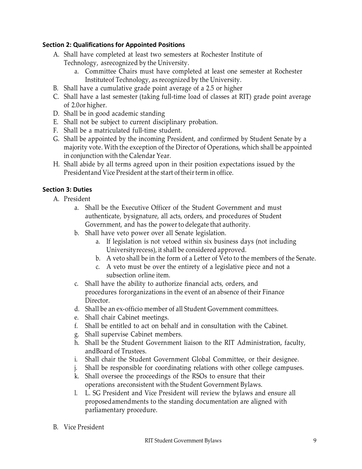# <span id="page-8-0"></span>**Section 2: Qualifications for Appointed Positions**

- A. Shall have completed at least two semesters at Rochester Institute of Technology, asrecognized by the University.
	- a. Committee Chairs must have completed at least one semester at Rochester Instituteof Technology, as recognized by the University.
- B. Shall have a cumulative grade point average of a 2.5 or higher
- C. Shall have a last semester (taking full-time load of classes at RIT) grade point average of 2.0or higher.
- D. Shall be in good academic standing
- E. Shall not be subject to current disciplinary probation.
- F. Shall be a matriculated full-time student.
- G. Shall be appointed by the incoming President, and confirmed by Student Senate by a majority vote. With the exception of the Director of Operations, which shall be appointed in conjunction with the Calendar Year.
- H. Shall abide by all terms agreed upon in their position expectations issued by the Presidentand Vice President at the start of their term in office.

# <span id="page-8-1"></span>**Section 3: Duties**

- A. President
	- a. Shall be the Executive Officer of the Student Government and must authenticate, bysignature, all acts, orders, and procedures of Student Government, and has the power to delegate that authority.
	- b. Shall have veto power over all Senate legislation.
		- a. If legislation is not vetoed within six business days (not including Universityrecess), it shall be considered approved.
		- b. A veto shall be in the form of a Letter of Veto to the members of the Senate.
		- c. A veto must be over the entirety of a legislative piece and not a subsection orline item.
	- c. Shall have the ability to authorize financial acts, orders, and procedures fororganizations in the event of an absence of their Finance Director.
	- d. Shall be an ex-officio member of all Student Government committees.
	- e. Shall chair Cabinet meetings.
	- f. Shall be entitled to act on behalf and in consultation with the Cabinet.
	- g. Shall supervise Cabinet members.
	- h. Shall be the Student Government liaison to the RIT Administration, faculty, andBoard of Trustees.
	- i. Shall chair the Student Government Global Committee, or their designee.
	- j. Shall be responsible for coordinating relations with other college campuses.
	- k. Shall oversee the proceedings of the RSOs to ensure that their operations areconsistent with the Student Government Bylaws.
	- l. L. SG President and Vice President will review the bylaws and ensure all proposedamendments to the standing documentation are aligned with parliamentary procedure.
- B. Vice President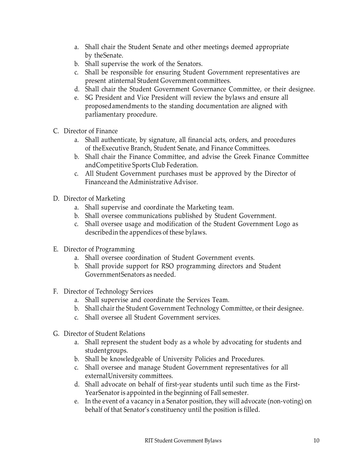- a. Shall chair the Student Senate and other meetings deemed appropriate by theSenate.
- b. Shall supervise the work of the Senators.
- c. Shall be responsible for ensuring Student Government representatives are present atinternal Student Government committees.
- d. Shall chair the Student Government Governance Committee, or their designee.
- e. SG President and Vice President will review the bylaws and ensure all proposedamendments to the standing documentation are aligned with parliamentary procedure.
- C. Director of Finance
	- a. Shall authenticate, by signature, all financial acts, orders, and procedures of theExecutive Branch, Student Senate, and Finance Committees.
	- b. Shall chair the Finance Committee, and advise the Greek Finance Committee andCompetitive Sports Club Federation.
	- c. All Student Government purchases must be approved by the Director of Financeand the Administrative Advisor.
- D. Director of Marketing
	- a. Shall supervise and coordinate the Marketing team.
	- b. Shall oversee communications published by Student Government.
	- c. Shall oversee usage and modification of the Student Government Logo as describedin the appendices of these bylaws.
- E. Director of Programming
	- a. Shall oversee coordination of Student Government events.
	- b. Shall provide support for RSO programming directors and Student GovernmentSenators as needed.
- F. Director of Technology Services
	- a. Shall supervise and coordinate the Services Team.
	- b. Shall chair the Student Government Technology Committee, or their designee.
	- c. Shall oversee all Student Government services.
- G. Director of Student Relations
	- a. Shall represent the student body as a whole by advocating for students and studentgroups.
	- b. Shall be knowledgeable of University Policies and Procedures.
	- c. Shall oversee and manage Student Government representatives for all externalUniversity committees.
	- d. Shall advocate on behalf of first-year students until such time as the First-YearSenator is appointed in the beginning of Fall semester.
	- e. In the event of a vacancy in a Senator position, they will advocate (non-voting) on behalf of that Senator's constituency until the position is filled.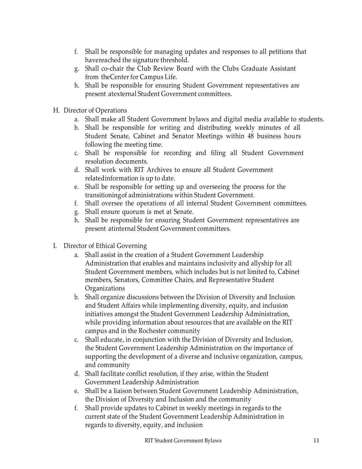- f. Shall be responsible for managing updates and responses to all petitions that havereached the signature threshold.
- g. Shall co-chair the Club Review Board with the Clubs Graduate Assistant from theCenter for Campus Life.
- h. Shall be responsible for ensuring Student Government representatives are present atexternal Student Government committees.
- H. Director of Operations
	- a. Shall make all Student Government bylaws and digital media available to students.
	- b. Shall be responsible for writing and distributing weekly minutes of all Student Senate, Cabinet and Senator Meetings within 48 business hours following the meeting time.
	- c. Shall be responsible for recording and filing all Student Government resolution documents.
	- d. Shall work with RIT Archives to ensure all Student Government relatedinformation is up to date.
	- e. Shall be responsible for setting up and overseeing the process for the transitioningof administrations within Student Government.
	- f. Shall oversee the operations of all internal Student Government committees.
	- g. Shall ensure quorum is met at Senate.
	- h. Shall be responsible for ensuring Student Government representatives are present atinternal Student Government committees.
- I. Director of Ethical Governing
	- a. Shall assist in the creation of a Student Government Leadership Administration that enables and maintains inclusivity and allyship for all Student Government members, which includes but is not limited to, Cabinet members, Senators, Committee Chairs, and Representative Student Organizations
	- b. Shall organize discussions between the Division of Diversity and Inclusion and Student Affairs while implementing diversity, equity, and inclusion initiatives amongst the Student Government Leadership Administration, while providing information about resources that are available on the RIT campus and in the Rochester community
	- c. Shall educate, in conjunction with the Division of Diversity and Inclusion, the Student Government Leadership Administration on the importance of supporting the development of a diverse and inclusive organization, campus, and community
	- d. Shall facilitate conflict resolution, if they arise, within the Student Government Leadership Administration
	- e. Shall be a liaison between Student Government Leadership Administration, the Division of Diversity and Inclusion and the community
	- f. Shall provide updates to Cabinet in weekly meetings in regards to the current state of the Student Government Leadership Administration in regards to diversity, equity, and inclusion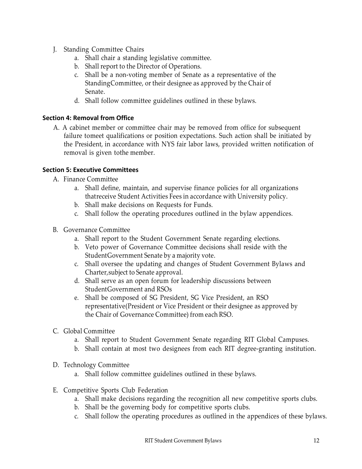- J. Standing Committee Chairs
	- a. Shall chair a standing legislative committee.
	- b. Shall report to the Director of Operations.
	- c. Shall be a non-voting member of Senate as a representative of the StandingCommittee, or their designee as approved by the Chair of Senate.
	- d. Shall follow committee guidelines outlined in these bylaws.

# <span id="page-11-0"></span>**Section 4: Removal from Office**

A. A cabinet member or committee chair may be removed from office for subsequent failure tomeet qualifications or position expectations. Such action shall be initiated by the President, in accordance with NYS fair labor laws, provided written notification of removal is given tothe member.

# <span id="page-11-1"></span>**Section 5: Executive Committees**

- A. Finance Committee
	- a. Shall define, maintain, and supervise finance policies for all organizations thatreceive Student Activities Fees in accordance with University policy.
	- b. Shall make decisions on Requests for Funds.
	- c. Shall follow the operating procedures outlined in the bylaw appendices.
- B. Governance Committee
	- a. Shall report to the Student Government Senate regarding elections.
	- b. Veto power of Governance Committee decisions shall reside with the StudentGovernment Senate by a majority vote.
	- c. Shall oversee the updating and changes of Student Government Bylaws and Charter,subject to Senate approval.
	- d. Shall serve as an open forum for leadership discussions between StudentGovernment and RSOs
	- e. Shall be composed of SG President, SG Vice President, an RSO representative(President or Vice President or their designee as approved by the Chair of Governance Committee) from each RSO.
- C. Global Committee
	- a. Shall report to Student Government Senate regarding RIT Global Campuses.
	- b. Shall contain at most two designees from each RIT degree-granting institution.
- D. Technology Committee
	- a. Shall follow committee guidelines outlined in these bylaws.
- E. Competitive Sports Club Federation
	- a. Shall make decisions regarding the recognition all new competitive sports clubs.
	- b. Shall be the governing body for competitive sports clubs.
	- c. Shall follow the operating procedures as outlined in the appendices of these bylaws.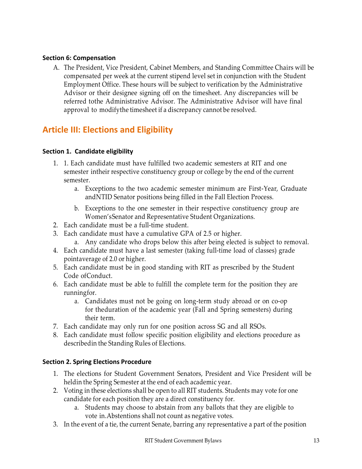# <span id="page-12-0"></span>**Section 6: Compensation**

A. The President, Vice President, Cabinet Members, and Standing Committee Chairs will be compensated per week at the current stipend level set in conjunction with the Student Employment Office. These hours will be subject to verification by the Administrative Advisor or their designee signing off on the timesheet. Any discrepancies will be referred tothe Administrative Advisor. The Administrative Advisor will have final approval to modifythe timesheet if a discrepancy cannot be resolved.

# <span id="page-12-1"></span>**Article III: Elections and Eligibility**

# <span id="page-12-2"></span>**Section 1. Candidate eligibility**

- 1. 1. Each candidate must have fulfilled two academic semesters at RIT and one semester intheir respective constituency group or college by the end of the current semester.
	- a. Exceptions to the two academic semester minimum are First-Year, Graduate andNTID Senator positions being filled in the Fall Election Process.
	- b. Exceptions to the one semester in their respective constituency group are Women'sSenator and Representative Student Organizations.
- 2. Each candidate must be a full-time student.
- 3. Each candidate must have a cumulative GPA of 2.5 or higher.
	- a. Any candidate who drops below this after being elected is subject to removal.
- 4. Each candidate must have a last semester (taking full-time load of classes) grade pointaverage of 2.0 or higher.
- 5. Each candidate must be in good standing with RIT as prescribed by the Student Code ofConduct.
- 6. Each candidate must be able to fulfill the complete term for the position they are runningfor.
	- a. Candidates must not be going on long-term study abroad or on co-op for theduration of the academic year (Fall and Spring semesters) during their term.
- 7. Each candidate may only run for one position across SG and all RSOs.
- 8. Each candidate must follow specific position eligibility and elections procedure as describedin the Standing Rules of Elections.

# <span id="page-12-3"></span>**Section 2. Spring Elections Procedure**

- 1. The elections for Student Government Senators, President and Vice President will be heldin the Spring Semester at the end of each academic year.
- 2. Voting in these elections shall be open to all RIT students. Students may vote for one candidate for each position they are a direct constituency for.
	- a. Students may choose to abstain from any ballots that they are eligible to vote in.Abstentions shall not count as negative votes.
- 3. In the event of a tie, the current Senate, barring any representative a part of the position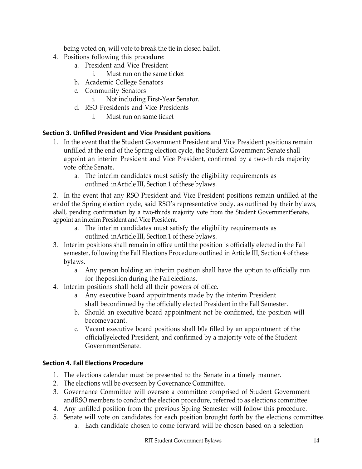being voted on, will vote to break the tie in closed ballot.

- 4. Positions following this procedure:
	- a. President and Vice President
		- i. Must run on the same ticket
	- b. Academic College Senators
	- c. Community Senators
		- i. Not including First-Year Senator.
	- d. RSO Presidents and Vice Presidents
		- i. Must run on same ticket

#### <span id="page-13-0"></span>**Section 3. Unfilled President and Vice President positions**

- 1. In the event that the Student Government President and Vice President positions remain unfilled at the end of the Spring election cycle, the Student Government Senate shall appoint an interim President and Vice President, confirmed by a two-thirds majority vote ofthe Senate.
	- a. The interim candidates must satisfy the eligibility requirements as outlined inArticle III, Section 1 of these bylaws.

2. In the event that any RSO President and Vice President positions remain unfilled at the endof the Spring election cycle, said RSO's representative body, as outlined by their bylaws, shall, pending confirmation by a two-thirds majority vote from the Student GovernmentSenate, appoint an interim President and Vice President.

- a. The interim candidates must satisfy the eligibility requirements as outlined inArticle III, Section 1 of these bylaws.
- 3. Interim positions shall remain in office until the position is officially elected in the Fall semester, following the Fall Elections Procedure outlined in Article III, Section 4 of these bylaws.
	- a. Any person holding an interim position shall have the option to officially run for theposition during the Fall elections.
- 4. Interim positions shall hold all their powers of office.
	- a. Any executive board appointments made by the interim President shall beconfirmed by the officially elected President in the Fall Semester.
	- b. Should an executive board appointment not be confirmed, the position will becomevacant.
	- c. Vacant executive board positions shall b0e filled by an appointment of the officiallyelected President, and confirmed by a majority vote of the Student GovernmentSenate.

# <span id="page-13-1"></span>**Section 4. Fall Elections Procedure**

- 1. The elections calendar must be presented to the Senate in a timely manner.
- 2. The elections will be overseen by Governance Committee.
- 3. Governance Committee will oversee a committee comprised of Student Government andRSO members to conduct the election procedure, referred to as elections committee.
- 4. Any unfilled position from the previous Spring Semester will follow this procedure.
- 5. Senate will vote on candidates for each position brought forth by the elections committee.
	- a. Each candidate chosen to come forward will be chosen based on a selection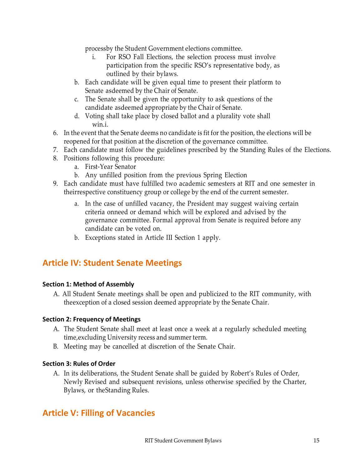processby the Student Government elections committee.

- i. For RSO Fall Elections, the selection process must involve participation from the specific RSO's representative body, as outlined by their bylaws.
- b. Each candidate will be given equal time to present their platform to Senate asdeemed by the Chair of Senate.
- c. The Senate shall be given the opportunity to ask questions of the candidate asdeemed appropriate by the Chair of Senate.
- d. Voting shall take place by closed ballot and a plurality vote shall win.i.
- 6. In the event that the Senate deems no candidate is fit for the position, the elections will be reopened for that position at the discretion of the governance committee.
- 7. Each candidate must follow the guidelines prescribed by the Standing Rules of the Elections.
- 8. Positions following this procedure:
	- a. First-Year Senator
	- b. Any unfilled position from the previous Spring Election
- 9. Each candidate must have fulfilled two academic semesters at RIT and one semester in theirrespective constituency group or college by the end of the current semester.
	- a. In the case of unfilled vacancy, the President may suggest waiving certain criteria onneed or demand which will be explored and advised by the governance committee. Formal approval from Senate is required before any candidate can be voted on.
	- b. Exceptions stated in Article III Section 1 apply.

# <span id="page-14-0"></span>**Article IV: Student Senate Meetings**

# <span id="page-14-1"></span>**Section 1: Method of Assembly**

A. All Student Senate meetings shall be open and publicized to the RIT community, with theexception of a closed session deemed appropriate by the Senate Chair.

# <span id="page-14-2"></span>**Section 2: Frequency of Meetings**

- A. The Student Senate shall meet at least once a week at a regularly scheduled meeting time,excluding University recess and summer term.
- B. Meeting may be cancelled at discretion of the Senate Chair.

# <span id="page-14-3"></span>**Section 3: Rules of Order**

A. In its deliberations, the Student Senate shall be guided by Robert's Rules of Order, Newly Revised and subsequent revisions, unless otherwise specified by the Charter, Bylaws, or theStanding Rules.

# <span id="page-14-4"></span>**Article V: Filling of Vacancies**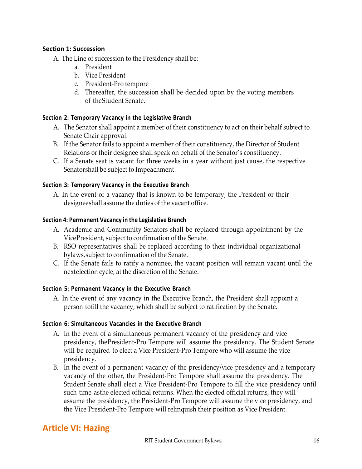#### <span id="page-15-0"></span>**Section 1: Succession**

- A. The Line of succession to the Presidency shall be:
	- a. President
	- b. Vice President
	- c. President-Pro tempore
	- d. Thereafter, the succession shall be decided upon by the voting members of theStudent Senate.

#### <span id="page-15-1"></span>**Section 2: Temporary Vacancy in the Legislative Branch**

- A. The Senator shall appoint a member of their constituency to act on their behalf subject to Senate Chair approval.
- B. If the Senator fails to appoint a member of their constituency, the Director of Student Relations or their designee shall speak on behalf of the Senator's constituency.
- C. If a Senate seat is vacant for three weeks in a year without just cause, the respective Senatorshall be subject to Impeachment.

#### <span id="page-15-2"></span>**Section 3: Temporary Vacancy in the Executive Branch**

A. In the event of a vacancy that is known to be temporary, the President or their designeeshall assume the duties of the vacant office.

#### <span id="page-15-3"></span>**Section 4: Permanent Vacancy in the Legislative Branch**

- A. Academic and Community Senators shall be replaced through appointment by the VicePresident, subject to confirmation of the Senate.
- B. RSO representatives shall be replaced according to their individual organizational bylaws,subject to confirmation of the Senate.
- C. If the Senate fails to ratify a nominee, the vacant position will remain vacant until the nextelection cycle, at the discretion of the Senate.

#### <span id="page-15-4"></span>**Section 5: Permanent Vacancy in the Executive Branch**

A. In the event of any vacancy in the Executive Branch, the President shall appoint a person tofill the vacancy, which shall be subject to ratification by the Senate.

#### <span id="page-15-5"></span>**Section 6: Simultaneous Vacancies in the Executive Branch**

- A. In the event of a simultaneous permanent vacancy of the presidency and vice presidency, thePresident-Pro Tempore will assume the presidency. The Student Senate will be required to elect a Vice President-Pro Tempore who will assume the vice presidency.
- B. In the event of a permanent vacancy of the presidency/vice presidency and a temporary vacancy of the other, the President-Pro Tempore shall assume the presidency. The Student Senate shall elect a Vice President-Pro Tempore to fill the vice presidency until such time asthe elected official returns. When the elected official returns, they will assume the presidency, the President-Pro Tempore will assume the vice presidency, and the Vice President-Pro Tempore will relinquish their position as Vice President.

# <span id="page-15-6"></span>**Article VI: Hazing**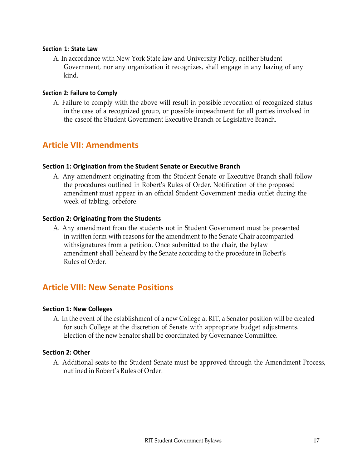#### <span id="page-16-0"></span>**Section 1: State Law**

A. In accordance with New York State law and University Policy, neither Student Government, nor any organization it recognizes, shall engage in any hazing of any kind.

#### <span id="page-16-1"></span>**Section 2: Failure to Comply**

A. Failure to comply with the above will result in possible revocation of recognized status in the case of a recognized group, or possible impeachment for all parties involved in the caseof the Student Government Executive Branch or Legislative Branch.

# <span id="page-16-2"></span>**Article VII: Amendments**

#### <span id="page-16-3"></span>**Section 1: Origination from the Student Senate or Executive Branch**

A. Any amendment originating from the Student Senate or Executive Branch shall follow the procedures outlined in Robert's Rules of Order. Notification of the proposed amendment must appear in an official Student Government media outlet during the week of tabling, orbefore.

#### <span id="page-16-4"></span>**Section 2: Originating from the Students**

A. Any amendment from the students not in Student Government must be presented in written form with reasons for the amendment to the Senate Chair accompanied withsignatures from a petition. Once submitted to the chair, the bylaw amendment shall beheard by the Senate according to the procedure in Robert's Rules of Order.

# <span id="page-16-5"></span>**Article VIII: New Senate Positions**

#### <span id="page-16-6"></span>**Section 1: New Colleges**

A. In the event of the establishment of a new College at RIT, a Senator position will be created for such College at the discretion of Senate with appropriate budget adjustments. Election of the new Senator shall be coordinated by Governance Committee.

#### <span id="page-16-7"></span>**Section 2: Other**

A. Additional seats to the Student Senate must be approved through the Amendment Process, outlined in Robert's Rules of Order.